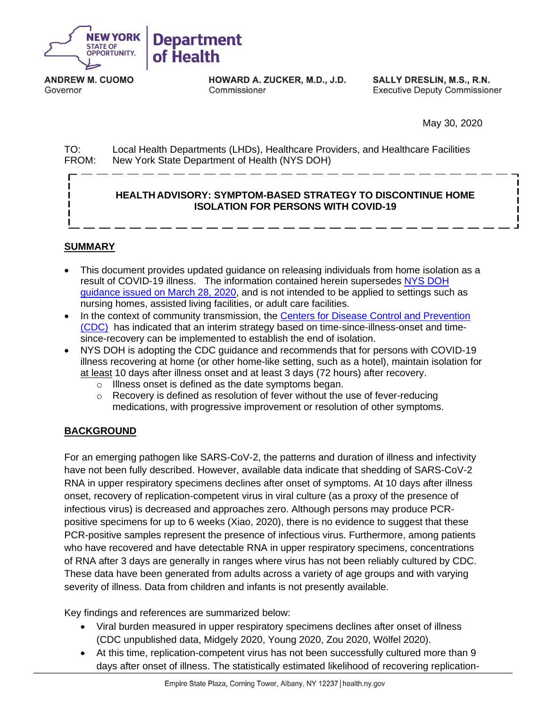

**ANDREW M. CUOMO** Governor

HOWARD A. ZUCKER, M.D., J.D. Commissioner

**SALLY DRESLIN, M.S., R.N. Executive Deputy Commissioner** 

May 30, 2020

TO: Local Health Departments (LHDs), Healthcare Providers, and Healthcare Facilities FROM: New York State Department of Health (NYS DOH)

## **HEALTH ADVISORY: SYMPTOM-BASED STRATEGY TO DISCONTINUE HOME ISOLATION FOR PERSONS WITH COVID-19**

## **SUMMARY**

- This document provides updated guidance on releasing individuals from home isolation as a result of COVID-19 illness. The information contained herein supersedes NYS [DOH](https://commerce.health.state.ny.us/hpn/ctrldocs/alrtview/postings/DOH_COVID19_DiscontinuationHomeIsolation_032820_1585422102743_0.pdf)  [guidance issued on March 28, 2020,](https://commerce.health.state.ny.us/hpn/ctrldocs/alrtview/postings/DOH_COVID19_DiscontinuationHomeIsolation_032820_1585422102743_0.pdf) and is not intended to be applied to settings such as nursing homes, assisted living facilities, or adult care facilities.
- In the context of community transmission, the [Centers for Disease Control and Prevention](https://www.cdc.gov/coronavirus/2019-ncov/community/strategy-discontinue-isolation.html)  [\(CDC\)](https://www.cdc.gov/coronavirus/2019-ncov/community/strategy-discontinue-isolation.html) has indicated that an interim strategy based on time-since-illness-onset and timesince-recovery can be implemented to establish the end of isolation.
- NYS DOH is adopting the CDC guidance and recommends that for persons with COVID-19 illness recovering at home (or other home-like setting, such as a hotel), maintain isolation for at least 10 days after illness onset and at least 3 days (72 hours) after recovery.
	- o Illness onset is defined as the date symptoms began.
	- $\circ$  Recovery is defined as resolution of fever without the use of fever-reducing medications, with progressive improvement or resolution of other symptoms.

## **BACKGROUND**

For an emerging pathogen like SARS-CoV-2, the patterns and duration of illness and infectivity have not been fully described. However, available data indicate that shedding of SARS-CoV-2 RNA in upper respiratory specimens declines after onset of symptoms. At 10 days after illness onset, recovery of replication-competent virus in viral culture (as a proxy of the presence of infectious virus) is decreased and approaches zero. Although persons may produce PCRpositive specimens for up to 6 weeks (Xiao, 2020), there is no evidence to suggest that these PCR-positive samples represent the presence of infectious virus. Furthermore, among patients who have recovered and have detectable RNA in upper respiratory specimens, concentrations of RNA after 3 days are generally in ranges where virus has not been reliably cultured by CDC. These data have been generated from adults across a variety of age groups and with varying severity of illness. Data from children and infants is not presently available.

Key findings and references are summarized below:

- Viral burden measured in upper respiratory specimens declines after onset of illness (CDC unpublished data, Midgely 2020, Young 2020, Zou 2020, Wölfel 2020).
- At this time, replication-competent virus has not been successfully cultured more than 9 days after onset of illness. The statistically estimated likelihood of recovering replication-